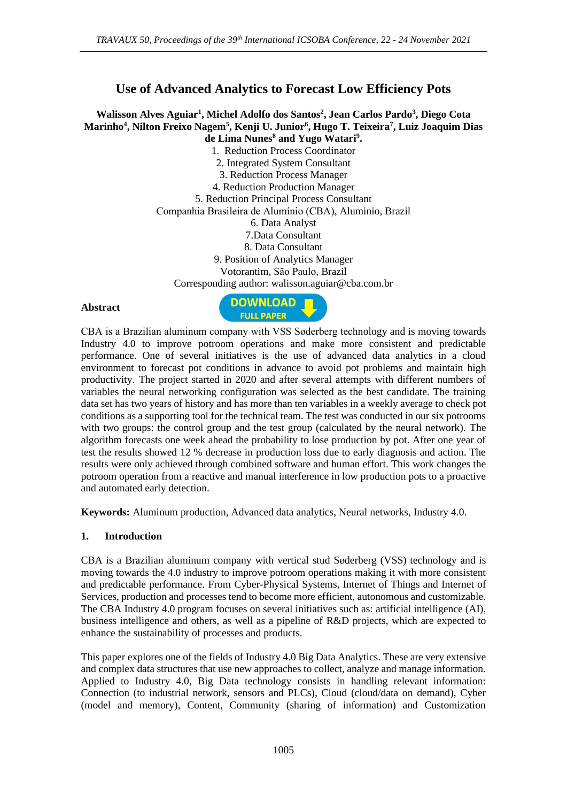# **Use of Advanced Analytics to Forecast Low Efficiency Pots**

### **Walisson Alves Aguiar<sup>1</sup> , Michel Adolfo dos Santos<sup>2</sup> , Jean Carlos Pardo<sup>3</sup> , Diego Cota Marinho<sup>4</sup> , Nilton Freixo Nagem<sup>5</sup> , Kenji U. Junior<sup>6</sup> , Hugo T. Teixeira<sup>7</sup> , Luiz Joaquim Dias de Lima Nunes<sup>8</sup> and Yugo Watari<sup>9</sup> .**

1. Reduction Process Coordinator 2. Integrated System Consultant 3. Reduction Process Manager 4. Reduction Production Manager 5. Reduction Principal Process Consultant Companhia Brasileira de Alumínio (CBA), Aluminio, Brazil 6. Data Analyst 7.Data Consultant 8. Data Consultant 9. Position of Analytics Manager Votorantim, São Paulo, Brazil Corresponding author: walisson.aguiar@cba.com.br

#### **Abstract**



CBA is a Brazilian aluminum company with VSS Søderberg technology and is moving towards Industry 4.0 to improve potroom operations and make more consistent and predictable performance. One of several initiatives is the use of advanced data analytics in a cloud environment to forecast pot conditions in advance to avoid pot problems and maintain high productivity. The project started in 2020 and after several attempts with different numbers of variables the neural networking configuration was selected as the best candidate. The training data set has two years of history and has more than ten variables in a weekly average to check pot conditions as a supporting tool for the technical team. The test was conducted in our six potrooms with two groups: the control group and the test group (calculated by the neural network). The algorithm forecasts one week ahead the probability to lose production by pot. After one year of test the results showed 12 % decrease in production loss due to early diagnosis and action. The results were only achieved through combined software and human effort. This work changes the potroom operation from a reactive and manual interference in low production pots to a proactive and automated early detection.

**Keywords:** Aluminum production, Advanced data analytics, Neural networks, Industry 4.0.

#### **1. Introduction**

CBA is a Brazilian aluminum company with vertical stud Søderberg (VSS) technology and is moving towards the 4.0 industry to improve potroom operations making it with more consistent and predictable performance. From Cyber-Physical Systems, Internet of Things and Internet of Services, production and processes tend to become more efficient, autonomous and customizable. The CBA Industry 4.0 program focuses on several initiatives such as: artificial intelligence (AI), business intelligence and others, as well as a pipeline of R&D projects, which are expected to enhance the sustainability of processes and products.

This paper explores one of the fields of Industry 4.0 Big Data Analytics. These are very extensive and complex data structures that use new approaches to collect, analyze and manage information. Applied to Industry 4.0, Big Data technology consists in handling relevant information: Connection (to industrial network, sensors and PLCs), Cloud (cloud/data on demand), Cyber (model and memory), Content, Community (sharing of information) and Customization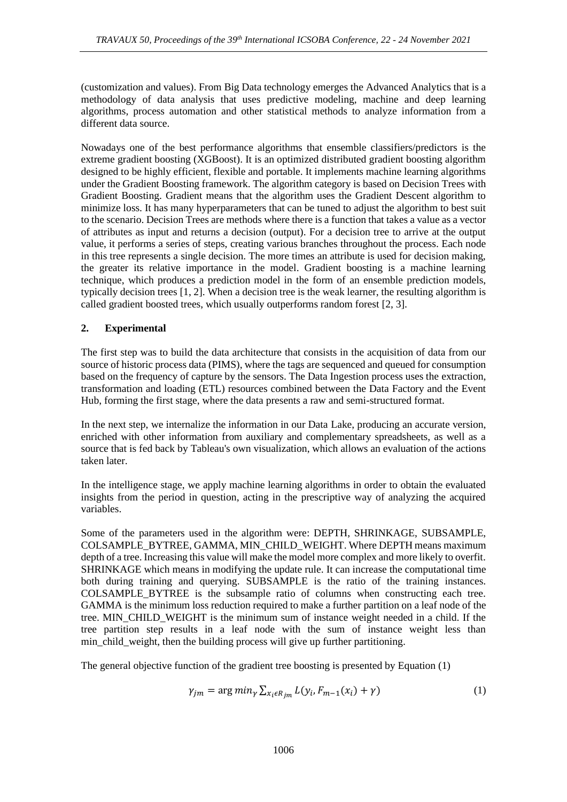(customization and values). From Big Data technology emerges the Advanced Analytics that is a methodology of data analysis that uses predictive modeling, machine and deep learning algorithms, process automation and other statistical methods to analyze information from a different data source.

Nowadays one of the best performance algorithms that ensemble classifiers/predictors is the extreme gradient boosting (XGBoost). It is an optimized distributed gradient boosting algorithm designed to be highly efficient, flexible and portable. It implements machine learning algorithms under the Gradient Boosting framework. The algorithm category is based on Decision Trees with Gradient Boosting. Gradient means that the algorithm uses the Gradient Descent algorithm to minimize loss. It has many hyperparameters that can be tuned to adjust the algorithm to best suit to the scenario. Decision Trees are methods where there is a function that takes a value as a vector of attributes as input and returns a decision (output). For a decision tree to arrive at the output value, it performs a series of steps, creating various branches throughout the process. Each node in this tree represents a single decision. The more times an attribute is used for decision making, the greater its relative importance in the model. Gradient boosting is a machine learning technique, which produces a prediction model in the form of an ensemble prediction models, typically decision trees [1, 2]. When a decision tree is the weak learner, the resulting algorithm is called gradient boosted trees, which usually outperforms random forest [2, 3].

## **2. Experimental**

The first step was to build the data architecture that consists in the acquisition of data from our source of historic process data (PIMS), where the tags are sequenced and queued for consumption based on the frequency of capture by the sensors. The Data Ingestion process uses the extraction, transformation and loading (ETL) resources combined between the Data Factory and the Event Hub, forming the first stage, where the data presents a raw and semi-structured format.

In the next step, we internalize the information in our Data Lake, producing an accurate version, enriched with other information from auxiliary and complementary spreadsheets, as well as a source that is fed back by Tableau's own visualization, which allows an evaluation of the actions taken later.

In the intelligence stage, we apply machine learning algorithms in order to obtain the evaluated insights from the period in question, acting in the prescriptive way of analyzing the acquired variables.

Some of the parameters used in the algorithm were: DEPTH, SHRINKAGE, SUBSAMPLE, COLSAMPLE\_BYTREE, GAMMA, MIN\_CHILD\_WEIGHT. Where DEPTH means maximum depth of a tree. Increasing this value will make the model more complex and more likely to overfit. SHRINKAGE which means in modifying the update rule. It can increase the computational time both during training and querying. SUBSAMPLE is the ratio of the training instances. COLSAMPLE\_BYTREE is the subsample ratio of columns when constructing each tree. GAMMA is the minimum loss reduction required to make a further partition on a leaf node of the tree. MIN\_CHILD\_WEIGHT is the minimum sum of instance weight needed in a child. If the tree partition step results in a leaf node with the sum of instance weight less than min child weight, then the building process will give up further partitioning.

The general objective function of the gradient tree boosting is presented by Equation (1)

$$
\gamma_{jm} = \arg\min_{\gamma} \sum_{x_i \in R_{jm}} L(y_i, F_{m-1}(x_i) + \gamma) \tag{1}
$$